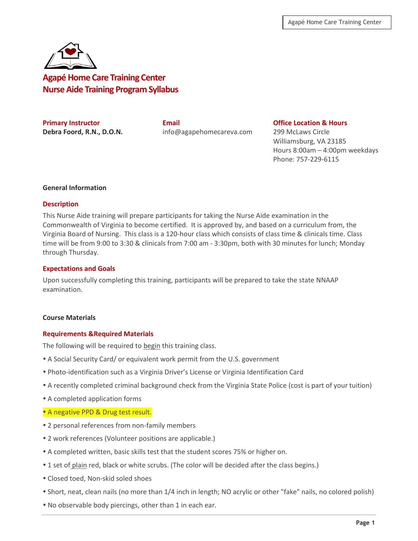

**Agapé Home Care Training Center Nurse Aide Training Program Syllabus**

**Primary Instructor Email Office Location & Hours Debra Foord, R.N., D.O.N.** info@agapehomecareva.com 299 McLaws Circle

Williamsburg, VA 23185 Hours 8:00am – 4:00pm weekdays Phone: 757-229-6115

### **General Information**

### **Description**

This Nurse Aide training will prepare participants for taking the Nurse Aide examination in the Commonwealth of Virginia to become certified. It is approved by, and based on a curriculum from, the Virginia Board of Nursing. This class is a 120-hour class which consists of class time & clinicals time. Class time will be from 9:00 to 3:30 & clinicals from 7:00 am - 3:30pm, both with 30 minutes for lunch; Monday through Thursday.

### **Expectations and Goals**

Upon successfully completing this training, participants will be prepared to take the state NNAAP examination.

# **Course Materials**

# **Requirements &Required Materials**

The following will be required to begin this training class.

- A Social Security Card/ or equivalent work permit from the U.S. government
- Photo-identification such as a Virginia Driver's License or Virginia Identification Card
- A recently completed criminal background check from the Virginia State Police (cost is part of your tuition)
- A completed application forms

# • A negative PPD & Drug test result.

- 2 personal references from non-family members
- 2 work references (Volunteer positions are applicable.)
- A completed written, basic skills test that the student scores 75% or higher on.
- 1 set of plain red, black or white scrubs. (The color will be decided after the class begins.)
- Closed toed, Non-skid soled shoes
- Short, neat, clean nails (no more than 1/4 inch in length; NO acrylic or other "fake" nails, no colored polish)
- No observable body piercings, other than 1 in each ear.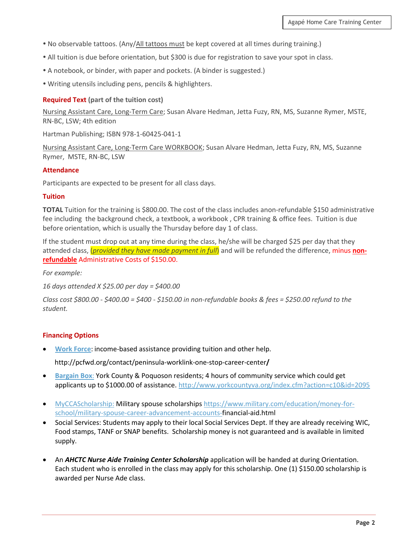- No observable tattoos. (Any/All tattoos must be kept covered at all times during training.)
- All tuition is due before orientation, but \$300 is due for registration to save your spot in class.
- A notebook, or binder, with paper and pockets. (A binder is suggested.)
- Writing utensils including pens, pencils & highlighters.

### **Required Text (part of the tuition cost)**

Nursing Assistant Care, Long-Term Care; Susan Alvare Hedman, Jetta Fuzy, RN, MS, Suzanne Rymer, MSTE, RN-BC, LSW; 4th edition

Hartman Publishing; ISBN 978-1-60425-041-1

Nursing Assistant Care, Long-Term Care WORKBOOK; Susan Alvare Hedman, Jetta Fuzy, RN, MS, Suzanne Rymer, MSTE, RN-BC, LSW

### **Attendance**

Participants are expected to be present for all class days.

### **Tuition**

**TOTAL** Tuition for the training is \$800.00. The cost of the class includes anon-refundable \$150 administrative fee including the background check, a textbook, a workbook , CPR training & office fees. Tuition is due before orientation, which is usually the Thursday before day 1 of class.

If the student must drop out at any time during the class, he/she will be charged \$25 per day that they attended class, (*provided they have made payment in full*) and will be refunded the difference, minus **nonrefundable** Administrative Costs of \$150.00.

*For example:* 

*16 days attended X \$25.00 per day = \$400.00* 

*Class cost \$800.00 - \$400.00 = \$400 - \$150.00 in non-refundable books & fees = \$250.00 refund to the student.*

### **Financing Options**

• **[Work Force](http://pcfwd.org/contact/peninsula-worklink-one-stop-career-center/)**: income-based assistance providing tuition and other help.

http://pcfwd.org/contact/peninsula-worklink-one-stop-career-center**/** 

- **[Bargain Box](http://www.yorkcountyva.org/index.cfm?action=c10&id=2095)**: York County & Poquoson residents; 4 hours of community service which could get applicants up to \$1000.00 of assistance. <http://www.yorkcountyva.org/index.cfm?action=c10&id=2095>
- [MyCCAScholarship:](https://www.military.com/education/money-for-school/military-spouse-career-advancement-accounts-financial-aid.html) Military spouse scholarships [https://www.military.com/education/money-for](https://www.military.com/education/money-for-school/military-spouse-career-advancement-accounts-)[school/military-spouse-career-advancement-accounts-f](https://www.military.com/education/money-for-school/military-spouse-career-advancement-accounts-)inancial-aid.html
- Social Services: Students may apply to their local Social Services Dept. If they are already receiving WIC, Food stamps, TANF or SNAP benefits. Scholarship money is not guaranteed and is available in limited supply.
- An *AHCTC Nurse Aide Training Center Scholarship* application will be handed at during Orientation. Each student who is enrolled in the class may apply for this scholarship. One (1) \$150.00 scholarship is awarded per Nurse Ade class.